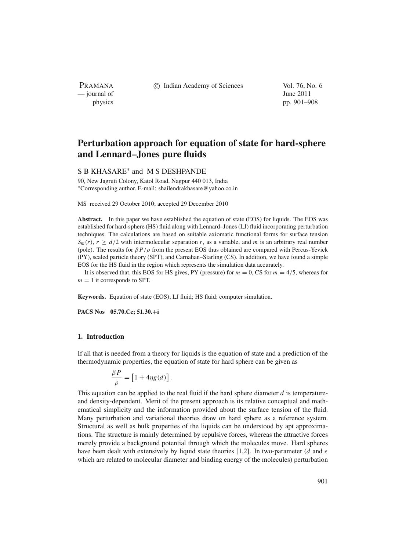PRAMANA — journal of June 2011

c Indian Academy of Sciences Vol. 76, No. 6

physics pp. 901–908

# **Perturbation approach for equation of state for hard-sphere and Lennard–Jones pure fluids**

## S B KHASARE<sup>∗</sup> and M S DESHPANDE

90, New Jagruti Colony, Katol Road, Nagpur 440 013, India <sup>∗</sup>Corresponding author. E-mail: shailendrakhasare@yahoo.co.in

MS received 29 October 2010; accepted 29 December 2010

**Abstract.** In this paper we have established the equation of state (EOS) for liquids. The EOS was established for hard-sphere (HS) fluid along with Lennard–Jones (LJ) fluid incorporating perturbation techniques. The calculations are based on suitable axiomatic functional forms for surface tension  $S_m(r)$ ,  $r \ge d/2$  with intermolecular separation *r*, as a variable, and *m* is an arbitrary real number (pole). The results for  $\beta P/\rho$  from the present EOS thus obtained are compared with Percus-Yevick (PY), scaled particle theory (SPT), and Carnahan–Starling (CS). In addition, we have found a simple EOS for the HS fluid in the region which represents the simulation data accurately.

It is observed that, this EOS for HS gives, PY (pressure) for  $m = 0$ , CS for  $m = 4/5$ , whereas for  $m = 1$  it corresponds to SPT.

**Keywords.** Equation of state (EOS); LJ fluid; HS fluid; computer simulation.

**PACS Nos 05.70.Ce; 51.30.+i**

## **1. Introduction**

If all that is needed from a theory for liquids is the equation of state and a prediction of the thermodynamic properties, the equation of state for hard sphere can be given as

$$
\frac{\beta P}{\rho} = \left[1 + 4\eta g(d)\right].
$$

This equation can be applied to the real fluid if the hard sphere diameter  $d$  is temperatureand density-dependent. Merit of the present approach is its relative conceptual and mathematical simplicity and the information provided about the surface tension of the fluid. Many perturbation and variational theories draw on hard sphere as a reference system. Structural as well as bulk properties of the liquids can be understood by apt approximations. The structure is mainly determined by repulsive forces, whereas the attractive forces merely provide a background potential through which the molecules move. Hard spheres have been dealt with extensively by liquid state theories [1,2]. In two-parameter (*d* and  $\epsilon$ which are related to molecular diameter and binding energy of the molecules) perturbation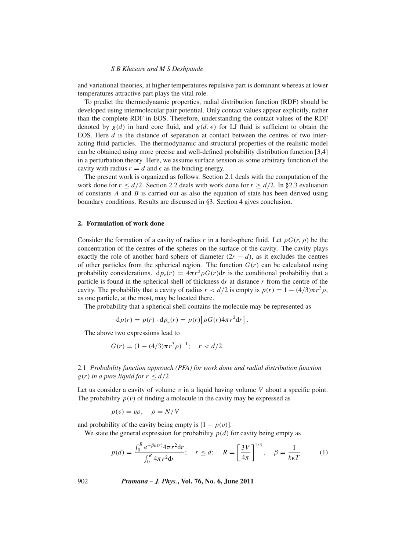and variational theories, at higher temperatures repulsive part is dominant whereas at lower temperatures attractive part plays the vital role.

To predict the thermodynamic properties, radial distribution function (RDF) should be developed using intermolecular pair potential. Only contact values appear explicitly, rather than the complete RDF in EOS. Therefore, understanding the contact values of the RDF denoted by  $g(d)$  in hard core fluid, and  $g(d, \epsilon)$  for LJ fluid is sufficient to obtain the EOS. Here *d* is the distance of separation at contact between the centres of two interacting fluid particles. The thermodynamic and structural properties of the realistic model can be obtained using more precise and well-defined probability distribution function [3,4] in a perturbation theory. Here, we assume surface tension as some arbitrary function of the cavity with radius  $r = d$  and  $\epsilon$  as the binding energy.

The present work is organized as follows: Section 2.1 deals with the computation of the work done for  $r \le d/2$ . Section 2.2 deals with work done for  $r > d/2$ . In §2.3 evaluation of constants *A* and *B* is carried out as also the equation of state has been derived using boundary conditions. Results are discussed in §3. Section 4 gives conclusion.

#### **2. Formulation of work done**

Consider the formation of a cavity of radius *r* in a hard-sphere fluid. Let  $\rho G(r, \rho)$  be the concentration of the centres of the spheres on the surface of the cavity. The cavity plays exactly the role of another hard sphere of diameter  $(2r - d)$ , as it excludes the centres of other particles from the spherical region. The function  $G(r)$  can be calculated using probability considerations.  $d p_c(r) = 4\pi r^2 \rho G(r) dr$  is the conditional probability that a particle is found in the spherical shell of thickness d*r* at distance *r* from the centre of the cavity. The probability that a cavity of radius  $r < d/2$  is empty is  $p(r) = 1 - (4/3)\pi r^3 \rho$ , as one particle, at the most, may be located there.

The probability that a spherical shell contains the molecule may be represented as

$$
-dp(r) = p(r) \cdot dp_c(r) = p(r) \left[ \rho G(r) 4\pi r^2 dr \right].
$$

The above two expressions lead to

$$
G(r) = (1 - (4/3)\pi r^3 \rho)^{-1}; \quad r < d/2.
$$

## 2.1 *Probability function approach (PFA) for work done and radial distribution function*  $g(r)$  *in a pure liquid for*  $r < d/2$

Let us consider a cavity of volume v in a liquid having volume V about a specific point. The probability  $p(v)$  of finding a molecule in the cavity may be expressed as

$$
p(v) = v\rho, \quad \rho = N/V
$$

and probability of the cavity being empty is  $[1 - p(v)]$ .

We state the general expression for probability  $p(d)$  for cavity being empty as

$$
p(d) = \frac{\int_0^R e^{-\beta u(r)} 4\pi r^2 dr}{\int_0^R 4\pi r^2 dr}; \quad r \le d; \quad R = \left[\frac{3V}{4\pi}\right]^{1/3}, \quad \beta = \frac{1}{k_B T}.
$$
 (1)

902 *Pramana – J. Phys.***, Vol. 76, No. 6, June 2011**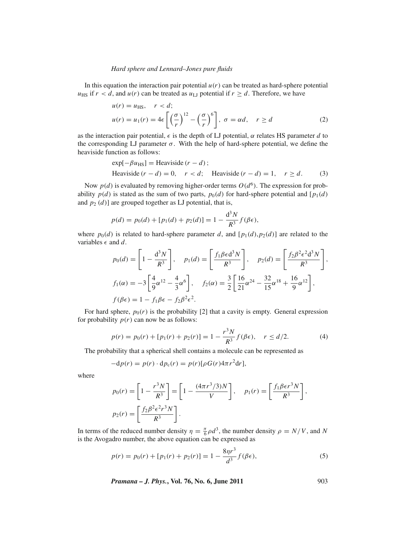#### *Hard sphere and Lennard–Jones pure fluids*

In this equation the interaction pair potential  $u(r)$  can be treated as hard-sphere potential  $u_{\text{HS}}$  if  $r < d$ , and  $u(r)$  can be treated as  $u_{\text{LI}}$  potential if  $r \geq d$ . Therefore, we have

$$
u(r) = u_{\text{HS}}, \quad r < d; u(r) = u_1(r) = 4\epsilon \left[ \left( \frac{\sigma}{r} \right)^{12} - \left( \frac{\sigma}{r} \right)^6 \right], \quad \sigma = \alpha d, \quad r \ge d
$$

as the interaction pair potential,  $\epsilon$  is the depth of LJ potential,  $\alpha$  relates HS parameter *d* to the corresponding LJ parameter  $\sigma$ . With the help of hard-sphere potential, we define the heaviside function as follows:

$$
\exp[-\beta u_{\text{HS}}] = \text{Heaviside}(r - d);
$$
  
Heaviside(r - d) = 0, r < d; Heaviside(r - d) = 1, r \ge d. (3)

Now  $p(d)$  is evaluated by removing higher-order terms  $O(d^6)$ . The expression for probability  $p(d)$  is stated as the sum of two parts,  $p_0(d)$  for hard-sphere potential and  $[p_1(d)]$ and  $p_2$  ( $d$ )] are grouped together as LJ potential, that is,

$$
p(d) = p_0(d) + [p_1(d) + p_2(d)] = 1 - \frac{d^3 N}{R^3} f(\beta \epsilon),
$$

where  $p_0(d)$  is related to hard-sphere parameter *d*, and  $[p_1(d), p_2(d)]$  are related to the variables  $\epsilon$  and  $d$ .

$$
p_0(d) = \left[1 - \frac{d^3 N}{R^3}\right], \quad p_1(d) = \left[\frac{f_1 \beta \epsilon d^3 N}{R^3}\right], \quad p_2(d) = \left[\frac{f_2 \beta^2 \epsilon^2 d^3 N}{R^3}\right],
$$
  

$$
f_1(\alpha) = -3\left[\frac{4}{9}\alpha^{12} - \frac{4}{3}\alpha^6\right], \quad f_2(\alpha) = \frac{3}{2}\left[\frac{16}{21}\alpha^{24} - \frac{32}{15}\alpha^{18} + \frac{16}{9}\alpha^{12}\right],
$$
  

$$
f(\beta \epsilon) = 1 - f_1 \beta \epsilon - f_2 \beta^2 \epsilon^2.
$$

For hard sphere,  $p_0(r)$  is the probability [2] that a cavity is empty. General expression for probability  $p(r)$  can now be as follows:

$$
p(r) = p_0(r) + [p_1(r) + p_2(r)] = 1 - \frac{r^3 N}{R^3} f(\beta \epsilon), \quad r \le d/2.
$$
 (4)

The probability that a spherical shell contains a molecule can be represented as

$$
-dp(r) = p(r) \cdot dp_c(r) = p(r)[\rho G(r) 4\pi r^2 dr],
$$

where

$$
p_0(r) = \left[1 - \frac{r^3 N}{R^3}\right] = \left[1 - \frac{(4\pi r^3/3)N}{V}\right], \quad p_1(r) = \left[\frac{f_1 \beta \epsilon r^3 N}{R^3}\right],
$$

$$
p_2(r) = \left[\frac{f_2 \beta^2 \epsilon^2 r^3 N}{R^3}\right].
$$

In terms of the reduced number density  $\eta = \frac{\pi}{6} \rho d^3$ , the number density  $\rho = N/V$ , and N is the Avogadro number, the above equation can be expressed as

$$
p(r) = p_0(r) + [p_1(r) + p_2(r)] = 1 - \frac{8\eta r^3}{d^3} f(\beta \epsilon),
$$
\n(5)

*Pramana – J. Phys.*, Vol. 76, No. 6, June 2011 
$$
903
$$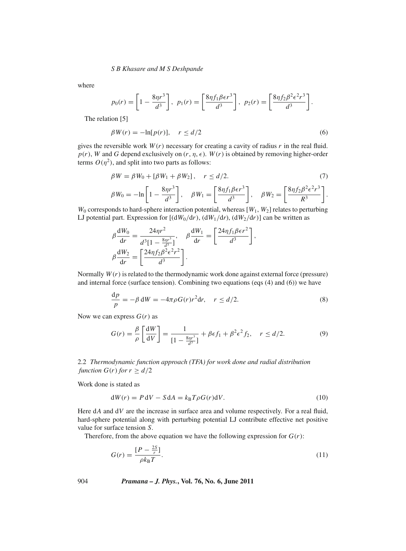where

$$
p_0(r) = \left[1 - \frac{8\eta r^3}{d^3}\right], \ \ p_1(r) = \left[\frac{8\eta f_1 \beta \epsilon r^3}{d^3}\right], \ \ p_2(r) = \left[\frac{8\eta f_2 \beta^2 \epsilon^2 r^3}{d^3}\right].
$$

The relation [5]

$$
\beta W(r) = -\ln[p(r)], \quad r \le d/2 \tag{6}
$$

gives the reversible work  $W(r)$  necessary for creating a cavity of radius  $r$  in the real fluid.  $p(r)$ , *W* and *G* depend exclusively on  $(r, \eta, \epsilon)$ . *W*(*r*) is obtained by removing higher-order terms  $O(\eta^2)$ , and split into two parts as follows:

$$
\beta W = \beta W_0 + [\beta W_1 + \beta W_2], \quad r \le d/2.
$$
\n
$$
\beta W_0 = -\ln\left[1 - \frac{8\eta r^3}{d^3}\right], \quad \beta W_1 = \left[\frac{8\eta f_1 \beta \epsilon r^3}{d^3}\right], \quad \beta W_2 = \left[\frac{8\eta f_2 \beta^2 \epsilon^2 r^3}{R^3}\right].
$$
\n(7)

 $W_0$  corresponds to hard-sphere interaction potential, whereas  $[W_1, W_2]$  relates to perturbing LJ potential part. Expression for  $[(dW_0/dr), (dW_1/dr), (dW_2/dr)]$  can be written as

$$
\beta \frac{dW_0}{dr} = \frac{24\eta r^2}{d^3 [1 - \frac{8\eta r^3}{d^3}]} , \quad \beta \frac{dW_1}{dr} = \left[ \frac{24\eta f_1 \beta \epsilon r^2}{d^3} \right] ,
$$

$$
\beta \frac{dW_2}{dr} = \left[ \frac{24\eta f_2 \beta^2 \epsilon^2 r^2}{d^3} \right].
$$

Normally *W*(*r*) is related to the thermodynamic work done against external force (pressure) and internal force (surface tension). Combining two equations (eqs (4) and (6)) we have

$$
\frac{\mathrm{d}p}{p} = -\beta \,\mathrm{d}W = -4\pi\rho G(r)r^2 \mathrm{d}r, \quad r \le d/2. \tag{8}
$$

Now we can express  $G(r)$  as

$$
G(r) = \frac{\beta}{\rho} \left[ \frac{\mathrm{d}W}{\mathrm{d}V} \right] = \frac{1}{\left[ 1 - \frac{8\eta r^3}{d^3} \right]} + \beta \epsilon f_1 + \beta^2 \epsilon^2 f_2, \quad r \le d/2. \tag{9}
$$

2.2 *Thermodynamic function approach (TFA) for work done and radial distribution function*  $G(r)$  *for*  $r \ge d/2$ 

Work done is stated as

$$
dW(r) = P dV - S dA = k_B T \rho G(r) dV.
$$
\n(10)

Here  $dA$  and  $dV$  are the increase in surface area and volume respectively. For a real fluid, hard-sphere potential along with perturbing potential LJ contribute effective net positive value for surface tension *S*.

Therefore, from the above equation we have the following expression for  $G(r)$ :

$$
G(r) = \frac{[P - \frac{2S}{r}]}{\rho k_B T}.
$$
\n<sup>(11)</sup>

904 *Pramana – J. Phys.***, Vol. 76, No. 6, June 2011**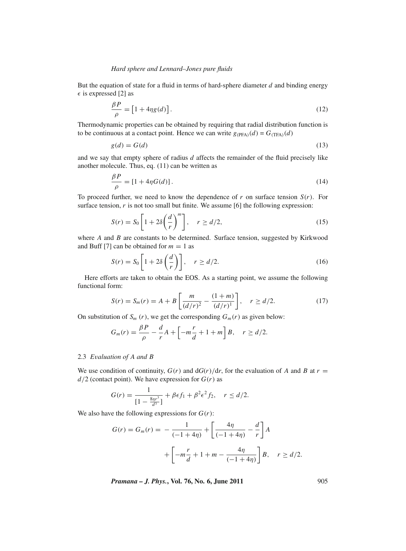## *Hard sphere and Lennard–Jones pure fluids*

But the equation of state for a fluid in terms of hard-sphere diameter *d* and binding energy  $\epsilon$  is expressed [2] as

$$
\frac{\beta P}{\rho} = \left[1 + 4\eta g(d)\right].\tag{12}
$$

Thermodynamic properties can be obtained by requiring that radial distribution function is to be continuous at a contact point. Hence we can write  $g_{(PFA)}(d) = G_{(TFA)}(d)$ 

$$
g(d) = G(d) \tag{13}
$$

and we say that empty sphere of radius *d* affects the remainder of the fluid precisely like another molecule. Thus, eq. (11) can be written as

$$
\frac{\beta P}{\rho} = [1 + 4\eta G(d)].\tag{14}
$$

To proceed further, we need to know the dependence of  $r$  on surface tension  $S(r)$ . For surface tension,  $r$  is not too small but finite. We assume  $[6]$  the following expression:

$$
S(r) = S_0 \left[ 1 + 2\delta \left( \frac{d}{r} \right)^m \right], \quad r \ge d/2,
$$
\n(15)

where *A* and *B* are constants to be determined. Surface tension, suggested by Kirkwood and Buff [7] can be obtained for  $m = 1$  as

$$
S(r) = S_0 \left[ 1 + 2\delta \left( \frac{d}{r} \right) \right], \quad r \ge d/2. \tag{16}
$$

Here efforts are taken to obtain the EOS. As a starting point, we assume the following functional form:

$$
S(r) = S_m(r) = A + B \left[ \frac{m}{(d/r)^2} - \frac{(1+m)}{(d/r)^1} \right], \quad r \ge d/2.
$$
 (17)

On substitution of  $S_m(r)$ , we get the corresponding  $G_m(r)$  as given below:

$$
G_m(r) = \frac{\beta P}{\rho} - \frac{d}{r}A + \left[-m\frac{r}{d} + 1 + m\right]B, \quad r \ge d/2.
$$

## 2.3 *E*v*aluation of A and B*

We use condition of continuity,  $G(r)$  and  $dG(r)/dr$ , for the evaluation of *A* and *B* at  $r =$  $d/2$  (contact point). We have expression for  $G(r)$  as

$$
G(r) = \frac{1}{[1 - \frac{8\eta r^3}{d^3}]} + \beta \epsilon f_1 + \beta^2 \epsilon^2 f_2, \quad r \le d/2.
$$

We also have the following expressions for  $G(r)$ :

$$
G(r) = G_m(r) = -\frac{1}{(-1+4\eta)} + \left[\frac{4\eta}{(-1+4\eta)} - \frac{d}{r}\right]A + \left[-m\frac{r}{d} + 1 + m - \frac{4\eta}{(-1+4\eta)}\right]B, \quad r \ge d/2.
$$

*Pramana – J. Phys.***, Vol. 76, No. 6, June 2011** 905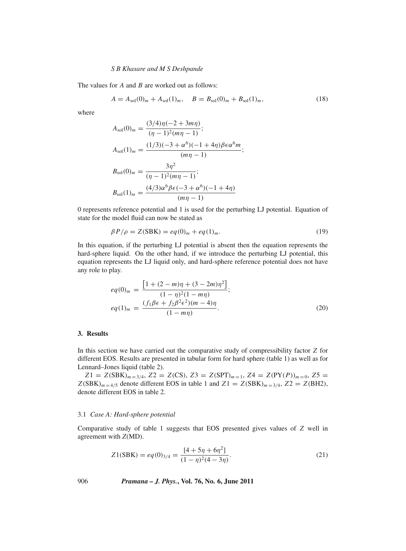The values for *A* and *B* are worked out as follows:

$$
A = A_{sol}(0)_m + A_{sol}(1)_m, \quad B = B_{sol}(0)_m + B_{sol}(1)_m,
$$
\n(18)

where

$$
A_{sol}(0)_m = \frac{(3/4)\eta(-2+3m\eta)}{(\eta-1)^2(m\eta-1)};
$$
  
\n
$$
A_{sol}(1)_m = \frac{(1/3)(-3+\alpha^6)(-1+4\eta)\beta\epsilon\alpha^6 m}{(m\eta-1)};
$$
  
\n
$$
B_{sol}(0)_m = \frac{3\eta^2}{(\eta-1)^2(m\eta-1)};
$$
  
\n
$$
B_{sol}(1)_m = \frac{(4/3)\alpha^6\beta\epsilon(-3+\alpha^6)(-1+4\eta)}{(m\eta-1)}
$$

0 represents reference potential and 1 is used for the perturbing LJ potential. Equation of state for the model fluid can now be stated as

$$
\beta P/\rho = Z(SBK) = eq(0)m + eq(1)m.
$$
\n(19)

In this equation, if the perturbing LJ potential is absent then the equation represents the hard-sphere liquid. On the other hand, if we introduce the perturbing LJ potential, this equation represents the LJ liquid only, and hard-sphere reference potential does not have any role to play.

$$
eq(0)m = \frac{\left[1 + (2 - m)\eta + (3 - 2m)\eta^2\right]}{(1 - \eta)^2 (1 - m\eta)};
$$
  
\n
$$
eq(1)m = \frac{(f_1 \beta \epsilon + f_2 \beta^2 \epsilon^2)(m - 4)\eta}{(1 - m\eta)}.
$$
\n(20)

## **3. Results**

In this section we have carried out the comparative study of compressibility factor *Z* for different EOS. Results are presented in tabular form for hard sphere (table 1) as well as for Lennard–Jones liquid (table 2).

 $Z1 = Z(SBK)_{m=3/4}$ ,  $Z2 = Z(CS)$ ,  $Z3 = Z(SPT)_{m=1}$ ,  $Z4 = Z(PY(P))_{m=0}$ ,  $Z5 =$  $Z(SBK)_{m=4/5}$  denote different EOS in table 1 and  $Z1 = Z(SBK)_{m=3/4}$ ,  $Z2 = Z(BH2)$ , denote different EOS in table 2.

#### 3.1 *Case A: Hard-sphere potential*

Comparative study of table 1 suggests that EOS presented gives values of *Z* well in agreement with *Z*(MD).

$$
Z1(SBK) = eq(0)3/4 = \frac{[4+5\eta+6\eta^2]}{(1-\eta)^2(4-3\eta)}.
$$
 (21)

906 *Pramana – J. Phys.***, Vol. 76, No. 6, June 2011**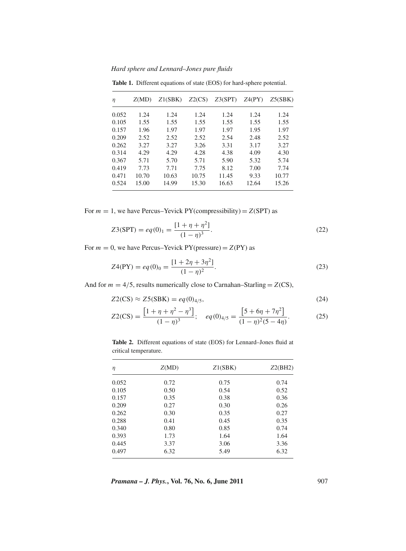*Hard sphere and Lennard–Jones pure fluids*

| η     | Z(MD) | Z1(SBK) | Z2(CS) | Z3(SPT) | Z4(PY) | Z5(SBK) |
|-------|-------|---------|--------|---------|--------|---------|
| 0.052 | 1.24  | 1.24    | 1.24   | 1.24    | 1.24   | 1.24    |
| 0.105 | 1.55  | 1.55    | 1.55   | 1.55    | 1.55   | 1.55    |
| 0.157 | 1.96  | 1.97    | 1.97   | 1.97    | 1.95   | 1.97    |
| 0.209 | 2.52  | 2.52    | 2.52   | 2.54    | 2.48   | 2.52    |
| 0.262 | 3.27  | 3.27    | 3.26   | 3.31    | 3.17   | 3.27    |
| 0.314 | 4.29  | 4.29    | 4.28   | 4.38    | 4.09   | 4.30    |
| 0.367 | 5.71  | 5.70    | 5.71   | 5.90    | 5.32   | 5.74    |
| 0.419 | 7.73  | 7.71    | 7.75   | 8.12    | 7.00   | 7.74    |
| 0.471 | 10.70 | 10.63   | 10.75  | 11.45   | 9.33   | 10.77   |
| 0.524 | 15.00 | 14.99   | 15.30  | 16.63   | 12.64  | 15.26   |

**Table 1.** Different equations of state (EOS) for hard-sphere potential.

For  $m = 1$ , we have Percus–Yevick PY(compressibility) =  $Z(SPT)$  as

$$
Z3(SPT) = eq(0)1 = \frac{[1 + \eta + \eta^{2}]}{(1 - \eta)^{3}}.
$$
 (22)

For  $m = 0$ , we have Percus–Yevick PY(pressure) =  $Z(PY)$  as

$$
Z4(PY) = eq(0)_0 = \frac{[1+2\eta+3\eta^2]}{(1-\eta)^2}.
$$
\n(23)

And for  $m = 4/5$ , results numerically close to Carnahan–Starling =  $Z(CS)$ ,

$$
Z2(CS) \approx Z5(SBK) = eq(0)_{4/5},
$$
\n(24)

$$
Z2(CS) = \frac{\left[1 + \eta + \eta^2 - \eta^3\right]}{(1 - \eta)^3}; \quad eq(0)_{4/5} = \frac{\left[5 + 6\eta + 7\eta^2\right]}{(1 - \eta)^2(5 - 4\eta)}.
$$
 (25)

| $\eta$ | Z(MD) | Z1(SBK) | Z2(BH2) |
|--------|-------|---------|---------|
| 0.052  | 0.72  | 0.75    | 0.74    |
| 0.105  | 0.50  | 0.54    | 0.52    |
| 0.157  | 0.35  | 0.38    | 0.36    |
| 0.209  | 0.27  | 0.30    | 0.26    |
| 0.262  | 0.30  | 0.35    | 0.27    |
| 0.288  | 0.41  | 0.45    | 0.35    |
| 0.340  | 0.80  | 0.85    | 0.74    |
| 0.393  | 1.73  | 1.64    | 1.64    |
| 0.445  | 3.37  | 3.06    | 3.36    |
| 0.497  | 6.32  | 5.49    | 6.32    |

**Table 2.** Different equations of state (EOS) for Lennard–Jones fluid at critical temperature.

*Pramana – J. Phys.***, Vol. 76, No. 6, June 2011** 907